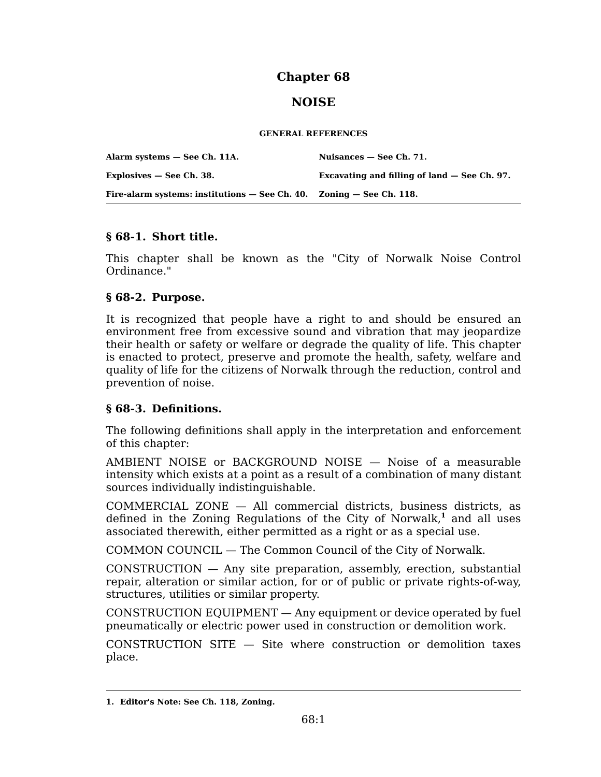# **Chapter 68**

# **NOISE**

#### **GENERAL REFERENCES**

| Alarm systems - See Ch. 11A.                                             | Nuisances – See Ch. 71.                      |
|--------------------------------------------------------------------------|----------------------------------------------|
| Explosives – See Ch. 38.                                                 | Excavating and filling of land – See Ch. 97. |
| Fire-alarm systems: institutions $-$ See Ch. 40. Zoning $-$ See Ch. 118. |                                              |

### **§ 68-1. Short title.**

This chapter shall be known as the "City of Norwalk Noise Control Ordinance."

### **§ 68-2. Purpose.**

It is recognized that people have a right to and should be ensured an environment free from excessive sound and vibration that may jeopardize their health or safety or welfare or degrade the quality of life. This chapter is enacted to protect, preserve and promote the health, safety, welfare and quality of life for the citizens of Norwalk through the reduction, control and prevention of noise.

## **§ 68-3. Definitions.**

The following definitions shall apply in the interpretation and enforcement of this chapter:

AMBIENT NOISE or BACKGROUND NOISE — Noise of a measurable intensity which exists at a point as a result of a combination of many distant sources individually indistinguishable.

COMMERCIAL ZONE — All commercial districts, business districts, as defined in the Zoning Regulations of the City of Norwalk,**<sup>1</sup>** and all uses associated therewith, either permitted as a right or as a special use.

COMMON COUNCIL — The Common Council of the City of Norwalk.

CONSTRUCTION — Any site preparation, assembly, erection, substantial repair, alteration or similar action, for or of public or private rights-of-way, structures, utilities or similar property.

CONSTRUCTION EQUIPMENT — Any equipment or device operated by fuel pneumatically or electric power used in construction or demolition work.

CONSTRUCTION SITE — Site where construction or demolition taxes place.

**<sup>1.</sup> Editor's Note: See Ch. 118, Zoning.**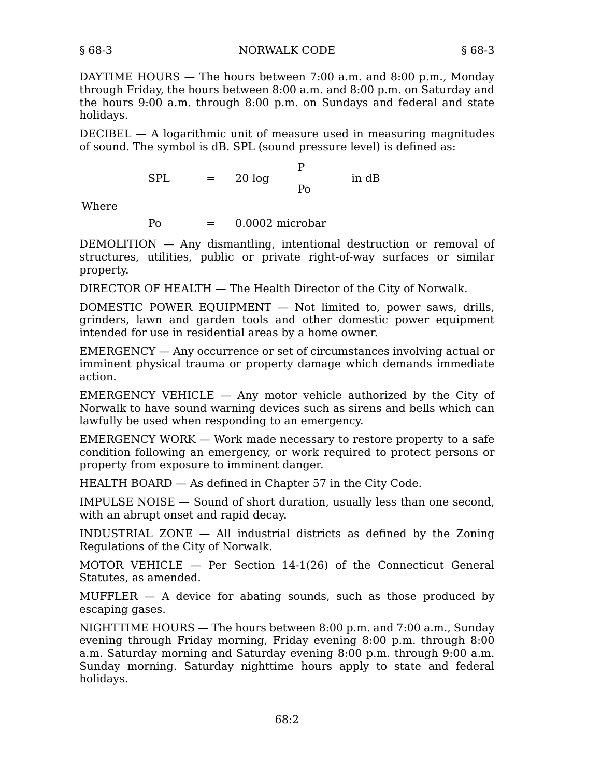DAYTIME HOURS — The hours between 7:00 a.m. and 8:00 p.m., Monday through Friday, the hours between 8:00 a.m. and 8:00 p.m. on Saturday and the hours 9:00 a.m. through 8:00 p.m. on Sundays and federal and state holidays.

DECIBEL — A logarithmic unit of measure used in measuring magnitudes of sound. The symbol is dB. SPL (sound pressure level) is defined as:

> $SPL = 20 \log$ P Po in dB

Where

 $P<sub>0</sub> = 0.0002$  microbar

DEMOLITION — Any dismantling, intentional destruction or removal of structures, utilities, public or private right-of-way surfaces or similar property.

DIRECTOR OF HEALTH — The Health Director of the City of Norwalk.

DOMESTIC POWER EQUIPMENT  $-$  Not limited to, power saws, drills, grinders, lawn and garden tools and other domestic power equipment intended for use in residential areas by a home owner.

EMERGENCY — Any occurrence or set of circumstances involving actual or imminent physical trauma or property damage which demands immediate action.

EMERGENCY VEHICLE  $-$  Any motor vehicle authorized by the City of Norwalk to have sound warning devices such as sirens and bells which can lawfully be used when responding to an emergency.

EMERGENCY WORK — Work made necessary to restore property to a safe condition following an emergency, or work required to protect persons or property from exposure to imminent danger.

HEALTH BOARD — As defined in Chapter 57 in the City Code.

IMPULSE NOISE — Sound of short duration, usually less than one second, with an abrupt onset and rapid decay.

INDUSTRIAL ZONE — All industrial districts as defined by the Zoning Regulations of the City of Norwalk.

MOTOR VEHICLE — Per Section 14-1(26) of the Connecticut General Statutes, as amended.

 $MUFFLER - A$  device for abating sounds, such as those produced by escaping gases.

NIGHTTIME HOURS — The hours between 8:00 p.m. and 7:00 a.m., Sunday evening through Friday morning, Friday evening 8:00 p.m. through 8:00 a.m. Saturday morning and Saturday evening 8:00 p.m. through 9:00 a.m. Sunday morning. Saturday nighttime hours apply to state and federal holidays.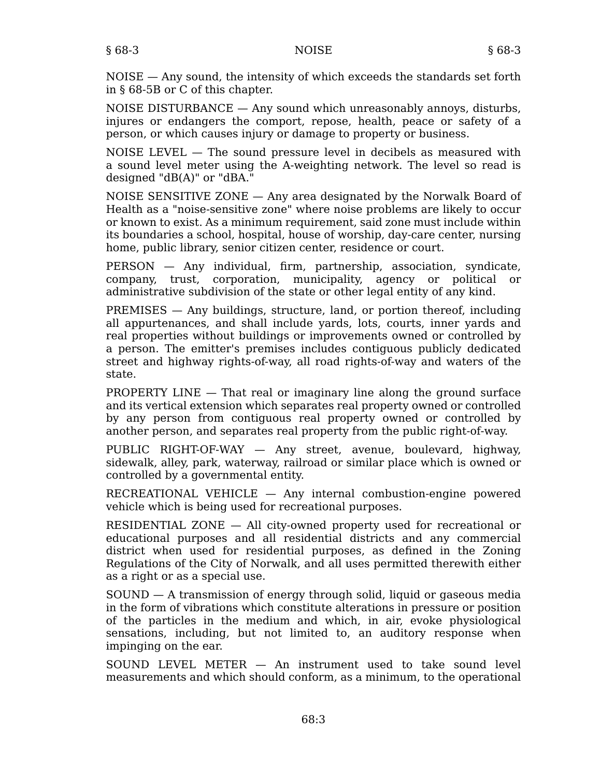NOISE — Any sound, the intensity of which exceeds the standards set forth in § 68-5B or C of this chapter.

NOISE DISTURBANCE — Any sound which unreasonably annoys, disturbs, injures or endangers the comport, repose, health, peace or safety of a person, or which causes injury or damage to property or business.

NOISE LEVEL — The sound pressure level in decibels as measured with a sound level meter using the A-weighting network. The level so read is designed "dB(A)" or "dBA."

NOISE SENSITIVE ZONE — Any area designated by the Norwalk Board of Health as a "noise-sensitive zone" where noise problems are likely to occur or known to exist. As a minimum requirement, said zone must include within its boundaries a school, hospital, house of worship, day-care center, nursing home, public library, senior citizen center, residence or court.

PERSON — Any individual, firm, partnership, association, syndicate, company, trust, corporation, municipality, agency or political or administrative subdivision of the state or other legal entity of any kind.

PREMISES — Any buildings, structure, land, or portion thereof, including all appurtenances, and shall include yards, lots, courts, inner yards and real properties without buildings or improvements owned or controlled by a person. The emitter's premises includes contiguous publicly dedicated street and highway rights-of-way, all road rights-of-way and waters of the state.

PROPERTY LINE — That real or imaginary line along the ground surface and its vertical extension which separates real property owned or controlled by any person from contiguous real property owned or controlled by another person, and separates real property from the public right-of-way.

PUBLIC RIGHT-OF-WAY — Any street, avenue, boulevard, highway, sidewalk, alley, park, waterway, railroad or similar place which is owned or controlled by a governmental entity.

RECREATIONAL VEHICLE — Any internal combustion-engine powered vehicle which is being used for recreational purposes.

RESIDENTIAL ZONE — All city-owned property used for recreational or educational purposes and all residential districts and any commercial district when used for residential purposes, as defined in the Zoning Regulations of the City of Norwalk, and all uses permitted therewith either as a right or as a special use.

SOUND — A transmission of energy through solid, liquid or gaseous media in the form of vibrations which constitute alterations in pressure or position of the particles in the medium and which, in air, evoke physiological sensations, including, but not limited to, an auditory response when impinging on the ear.

SOUND LEVEL METER — An instrument used to take sound level measurements and which should conform, as a minimum, to the operational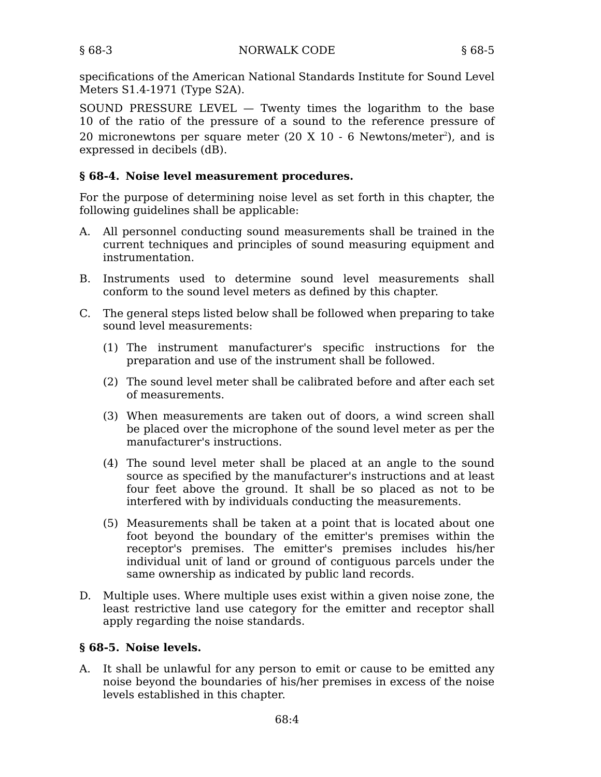specifications of the American National Standards Institute for Sound Level Meters S1.4-1971 (Type S2A).

SOUND PRESSURE LEVEL  $-$  Twenty times the logarithm to the base 10 of the ratio of the pressure of a sound to the reference pressure of 20 micronewtons per square meter (20 X 10 - 6 Newtons/meter<sup>2</sup>), and is expressed in decibels (dB).

# **§ 68-4. Noise level measurement procedures.**

For the purpose of determining noise level as set forth in this chapter, the following guidelines shall be applicable:

- All personnel conducting sound measurements shall be trained in the A. current techniques and principles of sound measuring equipment and instrumentation.
- Instruments used to determine sound level measurements shall B. conform to the sound level meters as defined by this chapter.
- C. The general steps listed below shall be followed when preparing to take sound level measurements:
	- (1) The instrument manufacturer's specific instructions for the preparation and use of the instrument shall be followed.
	- The sound level meter shall be calibrated before and after each set (2) of measurements.
	- When measurements are taken out of doors, a wind screen shall (3) be placed over the microphone of the sound level meter as per the manufacturer's instructions.
	- The sound level meter shall be placed at an angle to the sound (4) source as specified by the manufacturer's instructions and at least four feet above the ground. It shall be so placed as not to be interfered with by individuals conducting the measurements.
	- Measurements shall be taken at a point that is located about one (5) foot beyond the boundary of the emitter's premises within the receptor's premises. The emitter's premises includes his/her individual unit of land or ground of contiguous parcels under the same ownership as indicated by public land records.
- D. Multiple uses. Where multiple uses exist within a given noise zone, the least restrictive land use category for the emitter and receptor shall apply regarding the noise standards.

## **§ 68-5. Noise levels.**

A. It shall be unlawful for any person to emit or cause to be emitted any noise beyond the boundaries of his/her premises in excess of the noise levels established in this chapter.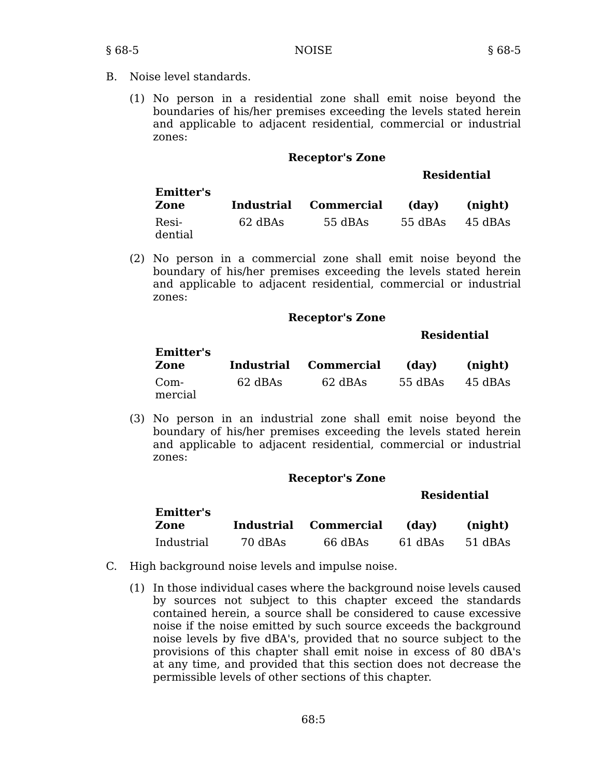B. Noise level standards.

**Emitter's**

(1) No person in a residential zone shall emit noise beyond the boundaries of his/her premises exceeding the levels stated herein and applicable to adjacent residential, commercial or industrial zones:

#### **Receptor's Zone**

#### **Residential**

| еппиет з<br>Zone | <b>Industrial</b> | <b>Commercial</b> | (dav)   | (night) |
|------------------|-------------------|-------------------|---------|---------|
| Resi-<br>dential | 62 dBAs           | 55 dBAs           | 55 dBAs | 45 dBAs |

(2) No person in a commercial zone shall emit noise beyond the boundary of his/her premises exceeding the levels stated herein and applicable to adjacent residential, commercial or industrial zones:

#### **Receptor's Zone**

#### **Residential**

| <b>Emitter's</b><br>Zone |         | Industrial Commercial | (dav)   | (night) |
|--------------------------|---------|-----------------------|---------|---------|
| Com-<br>mercial          | 62 dBAs | 62 dBAs               | 55 dBAs | 45 dBAs |

(3) No person in an industrial zone shall emit noise beyond the boundary of his/her premises exceeding the levels stated herein and applicable to adjacent residential, commercial or industrial zones:

#### **Receptor's Zone**

### **Residential**

| Emitter's<br>Zone |         | Industrial Commercial | (day)   | (night) |
|-------------------|---------|-----------------------|---------|---------|
| Industrial        | 70 dBAs | 66 dBAs               | 61 dBAs | 51 dBAs |

- C. High background noise levels and impulse noise.
	- In those individual cases where the background noise levels caused (1) by sources not subject to this chapter exceed the standards contained herein, a source shall be considered to cause excessive noise if the noise emitted by such source exceeds the background noise levels by five dBA's, provided that no source subject to the provisions of this chapter shall emit noise in excess of 80 dBA's at any time, and provided that this section does not decrease the permissible levels of other sections of this chapter.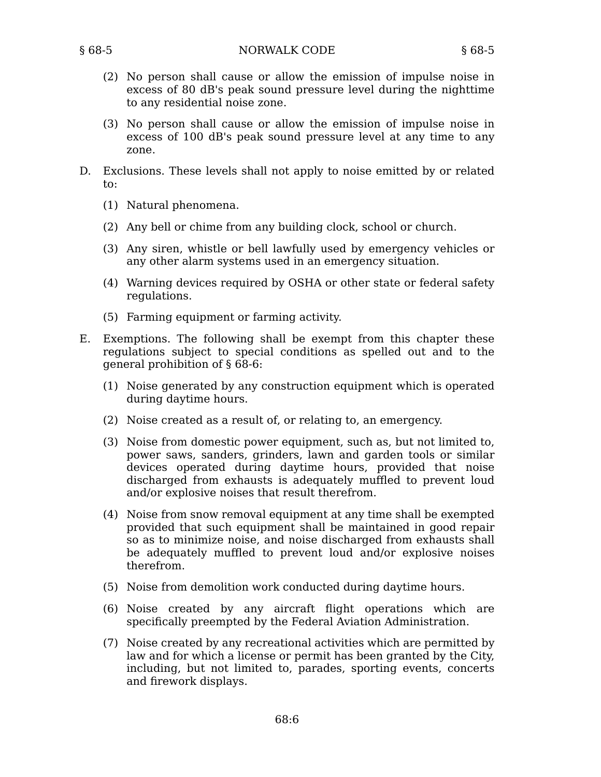- (2) No person shall cause or allow the emission of impulse noise in excess of 80 dB's peak sound pressure level during the nighttime to any residential noise zone.
- (3) No person shall cause or allow the emission of impulse noise in excess of 100 dB's peak sound pressure level at any time to any zone.
- Exclusions. These levels shall not apply to noise emitted by or related D. to:
	- (1) Natural phenomena.
	- (2) Any bell or chime from any building clock, school or church.
	- (3) Any siren, whistle or bell lawfully used by emergency vehicles or any other alarm systems used in an emergency situation.
	- Warning devices required by OSHA or other state or federal safety (4) regulations.
	- (5) Farming equipment or farming activity.
- Exemptions. The following shall be exempt from this chapter these E. regulations subject to special conditions as spelled out and to the general prohibition of § 68-6:
	- (1) Noise generated by any construction equipment which is operated during daytime hours.
	- (2) Noise created as a result of, or relating to, an emergency.
	- (3) Noise from domestic power equipment, such as, but not limited to, power saws, sanders, grinders, lawn and garden tools or similar devices operated during daytime hours, provided that noise discharged from exhausts is adequately muffled to prevent loud and/or explosive noises that result therefrom.
	- (4) Noise from snow removal equipment at any time shall be exempted provided that such equipment shall be maintained in good repair so as to minimize noise, and noise discharged from exhausts shall be adequately muffled to prevent loud and/or explosive noises therefrom.
	- (5) Noise from demolition work conducted during daytime hours.
	- (6) Noise created by any aircraft flight operations which are specifically preempted by the Federal Aviation Administration.
	- (7) Noise created by any recreational activities which are permitted by law and for which a license or permit has been granted by the City, including, but not limited to, parades, sporting events, concerts and firework displays.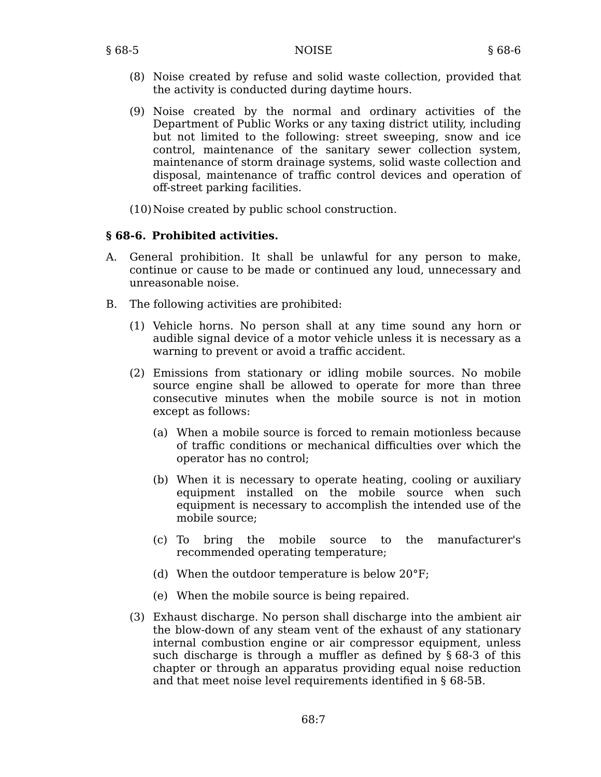- (8) Noise created by refuse and solid waste collection, provided that the activity is conducted during daytime hours.
- (9) Noise created by the normal and ordinary activities of the Department of Public Works or any taxing district utility, including but not limited to the following: street sweeping, snow and ice control, maintenance of the sanitary sewer collection system, maintenance of storm drainage systems, solid waste collection and disposal, maintenance of traffic control devices and operation of off-street parking facilities.
- (10)Noise created by public school construction.

## **§ 68-6. Prohibited activities.**

- General prohibition. It shall be unlawful for any person to make, A. continue or cause to be made or continued any loud, unnecessary and unreasonable noise.
- B. The following activities are prohibited:
	- (1) Vehicle horns. No person shall at any time sound any horn or audible signal device of a motor vehicle unless it is necessary as a warning to prevent or avoid a traffic accident.
	- Emissions from stationary or idling mobile sources. No mobile (2) source engine shall be allowed to operate for more than three consecutive minutes when the mobile source is not in motion except as follows:
		- When a mobile source is forced to remain motionless because (a) of traffic conditions or mechanical difficulties over which the operator has no control;
		- When it is necessary to operate heating, cooling or auxiliary (b) equipment installed on the mobile source when such equipment is necessary to accomplish the intended use of the mobile source;
		- the mobile source to the manufacturer's recommended operating temperature; (c)
		- (d) When the outdoor temperature is below 20°F;
		- (e) When the mobile source is being repaired.
	- Exhaust discharge. No person shall discharge into the ambient air (3) the blow-down of any steam vent of the exhaust of any stationary internal combustion engine or air compressor equipment, unless such discharge is through a muffler as defined by § 68-3 of this chapter or through an apparatus providing equal noise reduction and that meet noise level requirements identified in § 68-5B.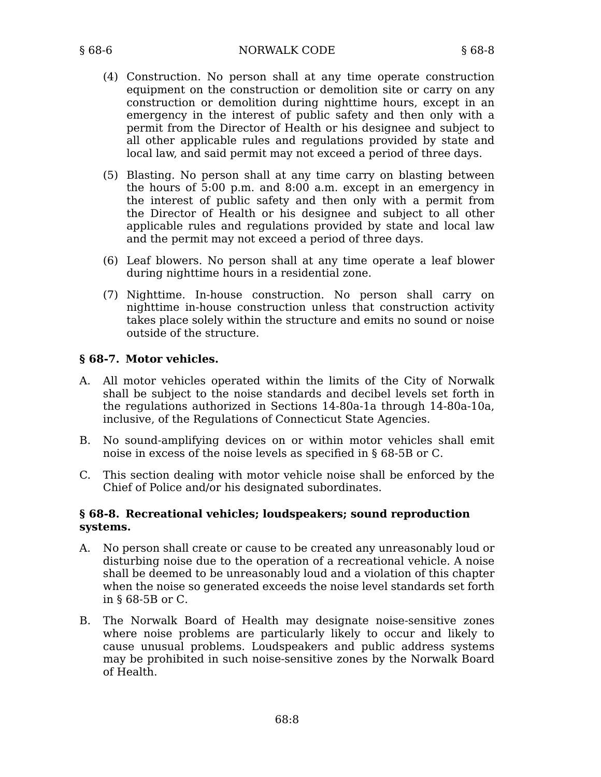- (4) Construction. No person shall at any time operate construction equipment on the construction or demolition site or carry on any construction or demolition during nighttime hours, except in an emergency in the interest of public safety and then only with a permit from the Director of Health or his designee and subject to all other applicable rules and regulations provided by state and local law, and said permit may not exceed a period of three days.
- (5) Blasting. No person shall at any time carry on blasting between the hours of 5:00 p.m. and 8:00 a.m. except in an emergency in the interest of public safety and then only with a permit from the Director of Health or his designee and subject to all other applicable rules and regulations provided by state and local law and the permit may not exceed a period of three days.
- Leaf blowers. No person shall at any time operate a leaf blower (6) during nighttime hours in a residential zone.
- (7) Nighttime. In-house construction. No person shall carry on nighttime in-house construction unless that construction activity takes place solely within the structure and emits no sound or noise outside of the structure.

### **§ 68-7. Motor vehicles.**

- All motor vehicles operated within the limits of the City of Norwalk A. shall be subject to the noise standards and decibel levels set forth in the regulations authorized in Sections 14-80a-1a through 14-80a-10a, inclusive, of the Regulations of Connecticut State Agencies.
- B. No sound-amplifying devices on or within motor vehicles shall emit noise in excess of the noise levels as specified in § 68-5B or C.
- C. This section dealing with motor vehicle noise shall be enforced by the Chief of Police and/or his designated subordinates.

### **§ 68-8. Recreational vehicles; loudspeakers; sound reproduction systems.**

- No person shall create or cause to be created any unreasonably loud or disturbing noise due to the operation of a recreational vehicle. A noise shall be deemed to be unreasonably loud and a violation of this chapter when the noise so generated exceeds the noise level standards set forth in § 68-5B or C. A.
- The Norwalk Board of Health may designate noise-sensitive zones B. where noise problems are particularly likely to occur and likely to cause unusual problems. Loudspeakers and public address systems may be prohibited in such noise-sensitive zones by the Norwalk Board of Health.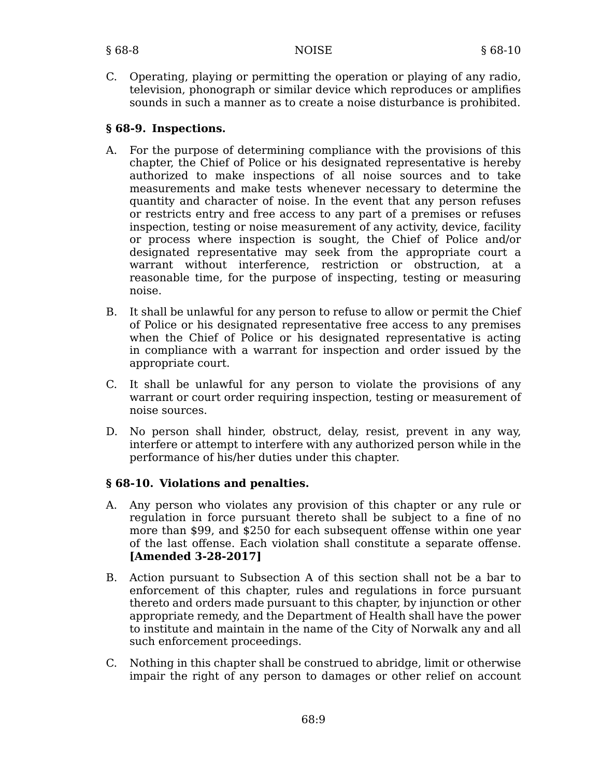C. Operating, playing or permitting the operation or playing of any radio, television, phonograph or similar device which reproduces or amplifies sounds in such a manner as to create a noise disturbance is prohibited.

## **§ 68-9. Inspections.**

- For the purpose of determining compliance with the provisions of this A. chapter, the Chief of Police or his designated representative is hereby authorized to make inspections of all noise sources and to take measurements and make tests whenever necessary to determine the quantity and character of noise. In the event that any person refuses or restricts entry and free access to any part of a premises or refuses inspection, testing or noise measurement of any activity, device, facility or process where inspection is sought, the Chief of Police and/or designated representative may seek from the appropriate court a warrant without interference, restriction or obstruction, at a reasonable time, for the purpose of inspecting, testing or measuring noise.
- B. It shall be unlawful for any person to refuse to allow or permit the Chief of Police or his designated representative free access to any premises when the Chief of Police or his designated representative is acting in compliance with a warrant for inspection and order issued by the appropriate court.
- C. It shall be unlawful for any person to violate the provisions of any warrant or court order requiring inspection, testing or measurement of noise sources.
- D. No person shall hinder, obstruct, delay, resist, prevent in any way, interfere or attempt to interfere with any authorized person while in the performance of his/her duties under this chapter.

## **§ 68-10. Violations and penalties.**

- A. Any person who violates any provision of this chapter or any rule or regulation in force pursuant thereto shall be subject to a fine of no more than \$99, and \$250 for each subsequent offense within one year of the last offense. Each violation shall constitute a separate offense. **[Amended 3-28-2017]**
- B. Action pursuant to Subsection A of this section shall not be a bar to enforcement of this chapter, rules and regulations in force pursuant thereto and orders made pursuant to this chapter, by injunction or other appropriate remedy, and the Department of Health shall have the power to institute and maintain in the name of the City of Norwalk any and all such enforcement proceedings.
- C. Nothing in this chapter shall be construed to abridge, limit or otherwise impair the right of any person to damages or other relief on account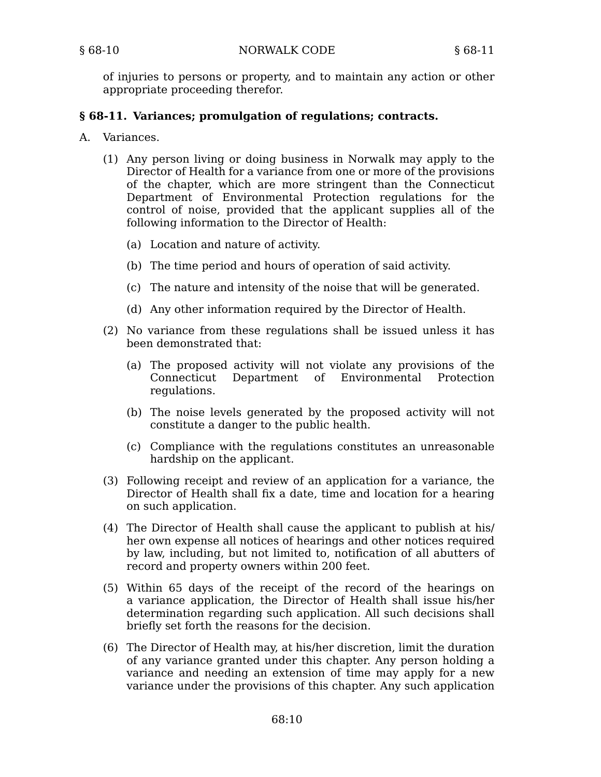of injuries to persons or property, and to maintain any action or other appropriate proceeding therefor.

### **§ 68-11. Variances; promulgation of regulations; contracts.**

- Variances.  $A_{\cdot}$ 
	- (1) Any person living or doing business in Norwalk may apply to the Director of Health for a variance from one or more of the provisions of the chapter, which are more stringent than the Connecticut Department of Environmental Protection regulations for the control of noise, provided that the applicant supplies all of the following information to the Director of Health:
		- (a) Location and nature of activity.
		- (b) The time period and hours of operation of said activity.
		- (c) The nature and intensity of the noise that will be generated.
		- (d) Any other information required by the Director of Health.
	- (2) No variance from these regulations shall be issued unless it has been demonstrated that:
		- (a) The proposed activity will not violate any provisions of the Connecticut Department of Environmental Protection regulations.
		- (b) The noise levels generated by the proposed activity will not constitute a danger to the public health.
		- (c) Compliance with the regulations constitutes an unreasonable hardship on the applicant.
	- Following receipt and review of an application for a variance, the (3) Director of Health shall fix a date, time and location for a hearing on such application.
	- The Director of Health shall cause the applicant to publish at his/ (4) her own expense all notices of hearings and other notices required by law, including, but not limited to, notification of all abutters of record and property owners within 200 feet.
	- Within 65 days of the receipt of the record of the hearings on (5) a variance application, the Director of Health shall issue his/her determination regarding such application. All such decisions shall briefly set forth the reasons for the decision.
	- The Director of Health may, at his/her discretion, limit the duration (6) of any variance granted under this chapter. Any person holding a variance and needing an extension of time may apply for a new variance under the provisions of this chapter. Any such application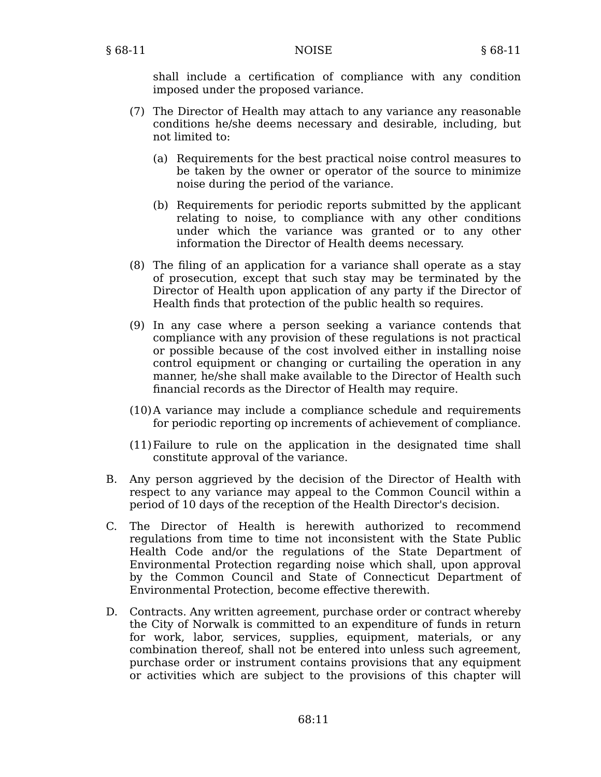shall include a certification of compliance with any condition imposed under the proposed variance.

- (7) The Director of Health may attach to any variance any reasonable conditions he/she deems necessary and desirable, including, but not limited to:
	- (a) Requirements for the best practical noise control measures to be taken by the owner or operator of the source to minimize noise during the period of the variance.
	- (b) Requirements for periodic reports submitted by the applicant relating to noise, to compliance with any other conditions under which the variance was granted or to any other information the Director of Health deems necessary.
- The filing of an application for a variance shall operate as a stay (8) of prosecution, except that such stay may be terminated by the Director of Health upon application of any party if the Director of Health finds that protection of the public health so requires.
- (9) In any case where a person seeking a variance contends that compliance with any provision of these regulations is not practical or possible because of the cost involved either in installing noise control equipment or changing or curtailing the operation in any manner, he/she shall make available to the Director of Health such financial records as the Director of Health may require.
- (10) A variance may include a compliance schedule and requirements for periodic reporting op increments of achievement of compliance.
- Failure to rule on the application in the designated time shall (11) constitute approval of the variance.
- B. Any person aggrieved by the decision of the Director of Health with respect to any variance may appeal to the Common Council within a period of 10 days of the reception of the Health Director's decision.
- C. The Director of Health is herewith authorized to recommend regulations from time to time not inconsistent with the State Public Health Code and/or the regulations of the State Department of Environmental Protection regarding noise which shall, upon approval by the Common Council and State of Connecticut Department of Environmental Protection, become effective therewith.
- D. Contracts. Any written agreement, purchase order or contract whereby the City of Norwalk is committed to an expenditure of funds in return for work, labor, services, supplies, equipment, materials, or any combination thereof, shall not be entered into unless such agreement, purchase order or instrument contains provisions that any equipment or activities which are subject to the provisions of this chapter will